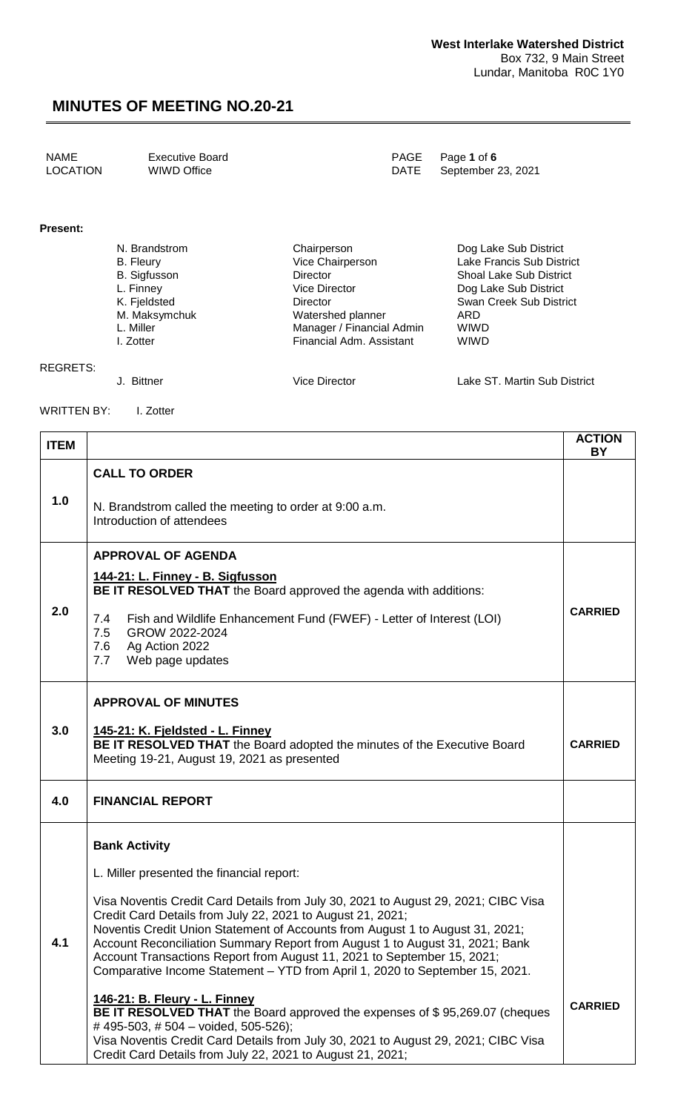| LOCATION<br>WIWD Office<br>DATE September 23, 2021 | NAME | <b>Executive Board</b> |  | PAGE Page 1 of 6 |
|----------------------------------------------------|------|------------------------|--|------------------|
|----------------------------------------------------|------|------------------------|--|------------------|

#### **Present:**

| N. Brandstrom       | Chairperson               | Dog Lake Sub District          |
|---------------------|---------------------------|--------------------------------|
| B. Fleury           | Vice Chairperson          | Lake Francis Sub District      |
| <b>B.</b> Sigfusson | Director                  | <b>Shoal Lake Sub District</b> |
| L. Finney           | <b>Vice Director</b>      | Dog Lake Sub District          |
| K. Fjeldsted        | Director                  | Swan Creek Sub District        |
| M. Maksymchuk       | Watershed planner         | ARD                            |
| L. Miller           | Manager / Financial Admin | <b>WIWD</b>                    |
| I. Zotter           | Financial Adm. Assistant  | <b>WIWD</b>                    |
|                     |                           |                                |

REGRETS:

J. Bittner Vice Director Lake ST. Martin Sub District

WRITTEN BY: I. Zotter

| <b>ITEM</b> |                                                                                                                                                                                                                                                                                                                                                                                                                                                                                                                                                                                                                                                                                                                                                                                                                                                             | <b>ACTION</b><br><b>BY</b> |
|-------------|-------------------------------------------------------------------------------------------------------------------------------------------------------------------------------------------------------------------------------------------------------------------------------------------------------------------------------------------------------------------------------------------------------------------------------------------------------------------------------------------------------------------------------------------------------------------------------------------------------------------------------------------------------------------------------------------------------------------------------------------------------------------------------------------------------------------------------------------------------------|----------------------------|
| 1.0         | <b>CALL TO ORDER</b><br>N. Brandstrom called the meeting to order at 9:00 a.m.<br>Introduction of attendees                                                                                                                                                                                                                                                                                                                                                                                                                                                                                                                                                                                                                                                                                                                                                 |                            |
| 2.0         | <b>APPROVAL OF AGENDA</b><br>144-21: L. Finney - B. Sigfusson<br>BE IT RESOLVED THAT the Board approved the agenda with additions:<br>Fish and Wildlife Enhancement Fund (FWEF) - Letter of Interest (LOI)<br>7.4<br>GROW 2022-2024<br>7.5<br>Ag Action 2022<br>7.6<br>Web page updates<br>7.7                                                                                                                                                                                                                                                                                                                                                                                                                                                                                                                                                              | <b>CARRIED</b>             |
| 3.0         | <b>APPROVAL OF MINUTES</b><br><u> 145-21: K. Fjeldsted - L. Finney</u><br>BE IT RESOLVED THAT the Board adopted the minutes of the Executive Board<br>Meeting 19-21, August 19, 2021 as presented                                                                                                                                                                                                                                                                                                                                                                                                                                                                                                                                                                                                                                                           | <b>CARRIED</b>             |
| 4.0         | <b>FINANCIAL REPORT</b>                                                                                                                                                                                                                                                                                                                                                                                                                                                                                                                                                                                                                                                                                                                                                                                                                                     |                            |
| 4.1         | <b>Bank Activity</b><br>L. Miller presented the financial report:<br>Visa Noventis Credit Card Details from July 30, 2021 to August 29, 2021; CIBC Visa<br>Credit Card Details from July 22, 2021 to August 21, 2021;<br>Noventis Credit Union Statement of Accounts from August 1 to August 31, 2021;<br>Account Reconciliation Summary Report from August 1 to August 31, 2021; Bank<br>Account Transactions Report from August 11, 2021 to September 15, 2021;<br>Comparative Income Statement - YTD from April 1, 2020 to September 15, 2021.<br>146-21: B. Fleury - L. Finney<br>BE IT RESOLVED THAT the Board approved the expenses of \$95,269.07 (cheques<br>#495-503, #504 - voided, 505-526);<br>Visa Noventis Credit Card Details from July 30, 2021 to August 29, 2021; CIBC Visa<br>Credit Card Details from July 22, 2021 to August 21, 2021; | <b>CARRIED</b>             |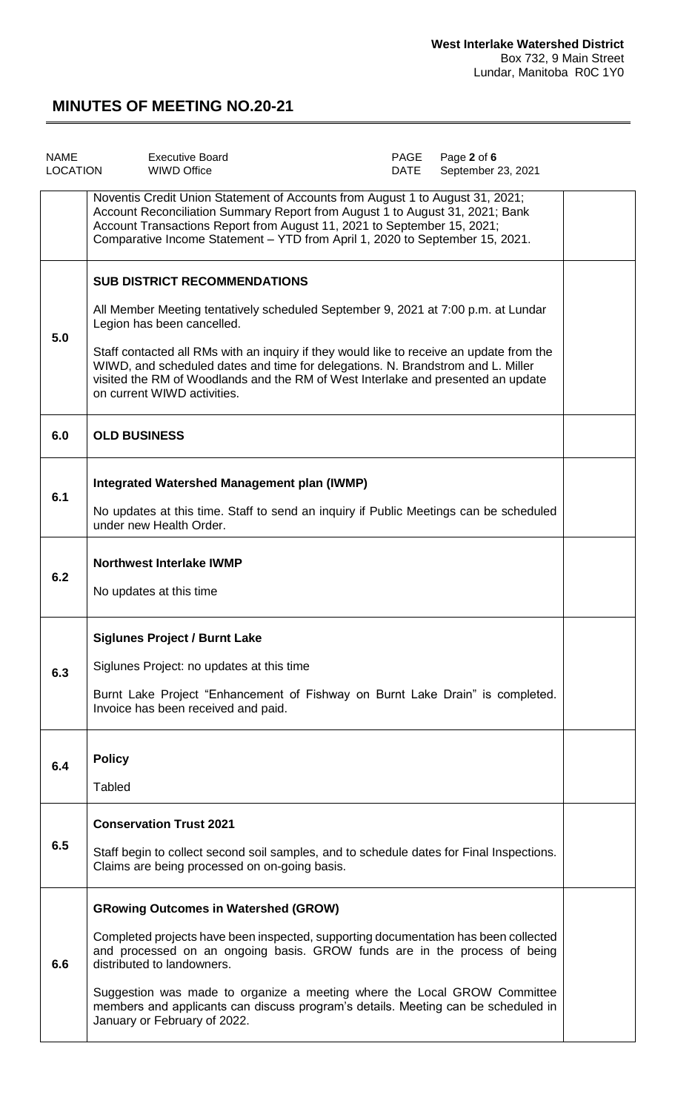| <b>NAME</b><br><b>LOCATION</b> | <b>Executive Board</b><br><b>WIWD Office</b>                                                                                                                                                                                                                                                                                                                                                                                                             | PAGE<br><b>DATE</b> | Page 2 of 6<br>September 23, 2021 |  |
|--------------------------------|----------------------------------------------------------------------------------------------------------------------------------------------------------------------------------------------------------------------------------------------------------------------------------------------------------------------------------------------------------------------------------------------------------------------------------------------------------|---------------------|-----------------------------------|--|
|                                | Noventis Credit Union Statement of Accounts from August 1 to August 31, 2021;<br>Account Reconciliation Summary Report from August 1 to August 31, 2021; Bank<br>Account Transactions Report from August 11, 2021 to September 15, 2021;<br>Comparative Income Statement - YTD from April 1, 2020 to September 15, 2021.                                                                                                                                 |                     |                                   |  |
| 5.0                            | <b>SUB DISTRICT RECOMMENDATIONS</b><br>All Member Meeting tentatively scheduled September 9, 2021 at 7:00 p.m. at Lundar<br>Legion has been cancelled.<br>Staff contacted all RMs with an inquiry if they would like to receive an update from the<br>WIWD, and scheduled dates and time for delegations. N. Brandstrom and L. Miller<br>visited the RM of Woodlands and the RM of West Interlake and presented an update<br>on current WIWD activities. |                     |                                   |  |
| 6.0                            | <b>OLD BUSINESS</b>                                                                                                                                                                                                                                                                                                                                                                                                                                      |                     |                                   |  |
| 6.1                            | <b>Integrated Watershed Management plan (IWMP)</b><br>No updates at this time. Staff to send an inquiry if Public Meetings can be scheduled<br>under new Health Order.                                                                                                                                                                                                                                                                                   |                     |                                   |  |
| 6.2                            | <b>Northwest Interlake IWMP</b><br>No updates at this time                                                                                                                                                                                                                                                                                                                                                                                               |                     |                                   |  |
| 6.3                            | <b>Siglunes Project / Burnt Lake</b><br>Siglunes Project: no updates at this time<br>Burnt Lake Project "Enhancement of Fishway on Burnt Lake Drain" is completed.<br>Invoice has been received and paid.                                                                                                                                                                                                                                                |                     |                                   |  |
| 6.4                            | <b>Policy</b><br><b>Tabled</b>                                                                                                                                                                                                                                                                                                                                                                                                                           |                     |                                   |  |
| 6.5                            | <b>Conservation Trust 2021</b><br>Staff begin to collect second soil samples, and to schedule dates for Final Inspections.<br>Claims are being processed on on-going basis.                                                                                                                                                                                                                                                                              |                     |                                   |  |
| 6.6                            | <b>GRowing Outcomes in Watershed (GROW)</b><br>Completed projects have been inspected, supporting documentation has been collected<br>and processed on an ongoing basis. GROW funds are in the process of being<br>distributed to landowners.<br>Suggestion was made to organize a meeting where the Local GROW Committee<br>members and applicants can discuss program's details. Meeting can be scheduled in<br>January or February of 2022.           |                     |                                   |  |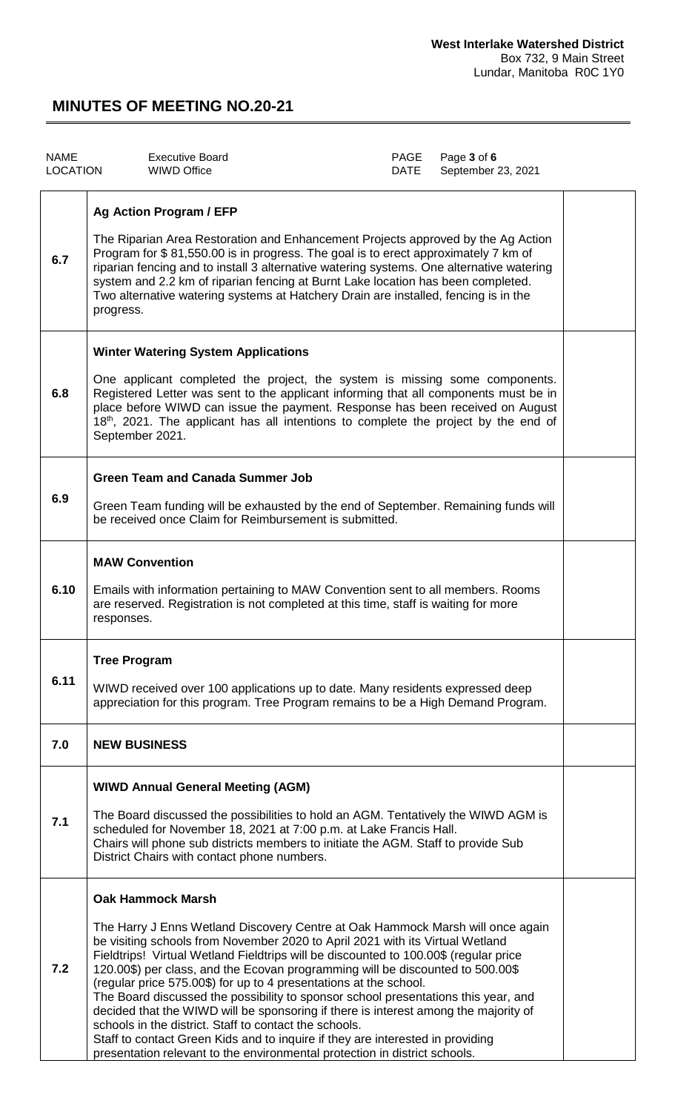| <b>NAME</b><br><b>LOCATION</b> | <b>Executive Board</b><br><b>WIWD Office</b>                                                                                                                                                                                                                                                                                                                                                                                                                                                                                                                                                                                                                                                                                                                                                                                                      | PAGE<br>DATE | Page 3 of 6<br>September 23, 2021 |  |
|--------------------------------|---------------------------------------------------------------------------------------------------------------------------------------------------------------------------------------------------------------------------------------------------------------------------------------------------------------------------------------------------------------------------------------------------------------------------------------------------------------------------------------------------------------------------------------------------------------------------------------------------------------------------------------------------------------------------------------------------------------------------------------------------------------------------------------------------------------------------------------------------|--------------|-----------------------------------|--|
| 6.7                            | <b>Ag Action Program / EFP</b><br>The Riparian Area Restoration and Enhancement Projects approved by the Ag Action<br>Program for \$81,550.00 is in progress. The goal is to erect approximately 7 km of<br>riparian fencing and to install 3 alternative watering systems. One alternative watering<br>system and 2.2 km of riparian fencing at Burnt Lake location has been completed.<br>Two alternative watering systems at Hatchery Drain are installed, fencing is in the<br>progress.                                                                                                                                                                                                                                                                                                                                                      |              |                                   |  |
| 6.8                            | <b>Winter Watering System Applications</b><br>One applicant completed the project, the system is missing some components.<br>Registered Letter was sent to the applicant informing that all components must be in<br>place before WIWD can issue the payment. Response has been received on August<br>18 <sup>th</sup> , 2021. The applicant has all intentions to complete the project by the end of<br>September 2021.                                                                                                                                                                                                                                                                                                                                                                                                                          |              |                                   |  |
| 6.9                            | <b>Green Team and Canada Summer Job</b><br>Green Team funding will be exhausted by the end of September. Remaining funds will<br>be received once Claim for Reimbursement is submitted.                                                                                                                                                                                                                                                                                                                                                                                                                                                                                                                                                                                                                                                           |              |                                   |  |
| 6.10                           | <b>MAW Convention</b><br>Emails with information pertaining to MAW Convention sent to all members. Rooms<br>are reserved. Registration is not completed at this time, staff is waiting for more<br>responses.                                                                                                                                                                                                                                                                                                                                                                                                                                                                                                                                                                                                                                     |              |                                   |  |
| 6.11                           | <b>Tree Program</b><br>WIWD received over 100 applications up to date. Many residents expressed deep<br>appreciation for this program. Tree Program remains to be a High Demand Program.                                                                                                                                                                                                                                                                                                                                                                                                                                                                                                                                                                                                                                                          |              |                                   |  |
| 7.0                            | <b>NEW BUSINESS</b>                                                                                                                                                                                                                                                                                                                                                                                                                                                                                                                                                                                                                                                                                                                                                                                                                               |              |                                   |  |
| 7.1                            | <b>WIWD Annual General Meeting (AGM)</b><br>The Board discussed the possibilities to hold an AGM. Tentatively the WIWD AGM is<br>scheduled for November 18, 2021 at 7:00 p.m. at Lake Francis Hall.<br>Chairs will phone sub districts members to initiate the AGM. Staff to provide Sub<br>District Chairs with contact phone numbers.                                                                                                                                                                                                                                                                                                                                                                                                                                                                                                           |              |                                   |  |
| 7.2                            | <b>Oak Hammock Marsh</b><br>The Harry J Enns Wetland Discovery Centre at Oak Hammock Marsh will once again<br>be visiting schools from November 2020 to April 2021 with its Virtual Wetland<br>Fieldtrips! Virtual Wetland Fieldtrips will be discounted to 100.00\$ (regular price<br>120.00\$) per class, and the Ecovan programming will be discounted to 500.00\$<br>(regular price 575.00\$) for up to 4 presentations at the school.<br>The Board discussed the possibility to sponsor school presentations this year, and<br>decided that the WIWD will be sponsoring if there is interest among the majority of<br>schools in the district. Staff to contact the schools.<br>Staff to contact Green Kids and to inquire if they are interested in providing<br>presentation relevant to the environmental protection in district schools. |              |                                   |  |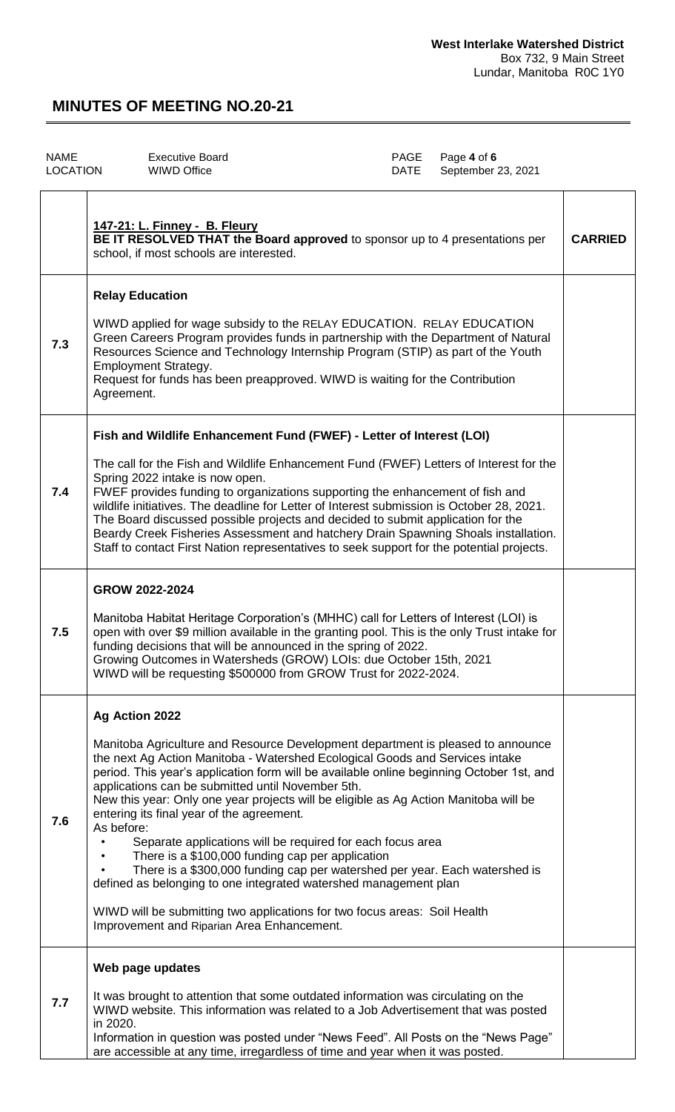| <b>NAME</b>     | <b>Executive Board</b>                                                                                                                                                                                                         | <b>PAGE</b> | Page 4 of 6        |              |
|-----------------|--------------------------------------------------------------------------------------------------------------------------------------------------------------------------------------------------------------------------------|-------------|--------------------|--------------|
| <b>LOCATION</b> | WIWD Office                                                                                                                                                                                                                    | DATE        | September 23, 2021 |              |
|                 | 147-21: L. Finney - B. Fleury<br>BE IT RESOLVED THAT the Board approved to sponsor up to 4 presentations per<br>the state of the second second second and the second second second second second second second second second s |             |                    | $\mathbf{C}$ |

|     | BE IT RESOLVED THAT the Board approved to sponsor up to 4 presentations per<br>school, if most schools are interested.                                                                                                                                                                                                                                                                                                                                                                                                                                                                                                                                                                                                                                                                                                                                                               | <b>CARRIED</b> |
|-----|--------------------------------------------------------------------------------------------------------------------------------------------------------------------------------------------------------------------------------------------------------------------------------------------------------------------------------------------------------------------------------------------------------------------------------------------------------------------------------------------------------------------------------------------------------------------------------------------------------------------------------------------------------------------------------------------------------------------------------------------------------------------------------------------------------------------------------------------------------------------------------------|----------------|
| 7.3 | <b>Relay Education</b><br>WIWD applied for wage subsidy to the RELAY EDUCATION. RELAY EDUCATION<br>Green Careers Program provides funds in partnership with the Department of Natural<br>Resources Science and Technology Internship Program (STIP) as part of the Youth<br><b>Employment Strategy.</b><br>Request for funds has been preapproved. WIWD is waiting for the Contribution<br>Agreement.                                                                                                                                                                                                                                                                                                                                                                                                                                                                                |                |
| 7.4 | Fish and Wildlife Enhancement Fund (FWEF) - Letter of Interest (LOI)<br>The call for the Fish and Wildlife Enhancement Fund (FWEF) Letters of Interest for the<br>Spring 2022 intake is now open.<br>FWEF provides funding to organizations supporting the enhancement of fish and<br>wildlife initiatives. The deadline for Letter of Interest submission is October 28, 2021.<br>The Board discussed possible projects and decided to submit application for the<br>Beardy Creek Fisheries Assessment and hatchery Drain Spawning Shoals installation.<br>Staff to contact First Nation representatives to seek support for the potential projects.                                                                                                                                                                                                                                |                |
| 7.5 | GROW 2022-2024<br>Manitoba Habitat Heritage Corporation's (MHHC) call for Letters of Interest (LOI) is<br>open with over \$9 million available in the granting pool. This is the only Trust intake for<br>funding decisions that will be announced in the spring of 2022.<br>Growing Outcomes in Watersheds (GROW) LOIs: due October 15th, 2021<br>WIWD will be requesting \$500000 from GROW Trust for 2022-2024.                                                                                                                                                                                                                                                                                                                                                                                                                                                                   |                |
| 7.6 | Ag Action 2022<br>Manitoba Agriculture and Resource Development department is pleased to announce<br>the next Ag Action Manitoba - Watershed Ecological Goods and Services intake<br>period. This year's application form will be available online beginning October 1st, and<br>applications can be submitted until November 5th.<br>New this year: Only one year projects will be eligible as Ag Action Manitoba will be<br>entering its final year of the agreement.<br>As before:<br>Separate applications will be required for each focus area<br>There is a \$100,000 funding cap per application<br>There is a \$300,000 funding cap per watershed per year. Each watershed is<br>defined as belonging to one integrated watershed management plan<br>WIWD will be submitting two applications for two focus areas: Soil Health<br>Improvement and Riparian Area Enhancement. |                |
| 7.7 | Web page updates<br>It was brought to attention that some outdated information was circulating on the<br>WIWD website. This information was related to a Job Advertisement that was posted<br>in 2020.<br>Information in question was posted under "News Feed". All Posts on the "News Page"<br>are accessible at any time, irregardless of time and year when it was posted.                                                                                                                                                                                                                                                                                                                                                                                                                                                                                                        |                |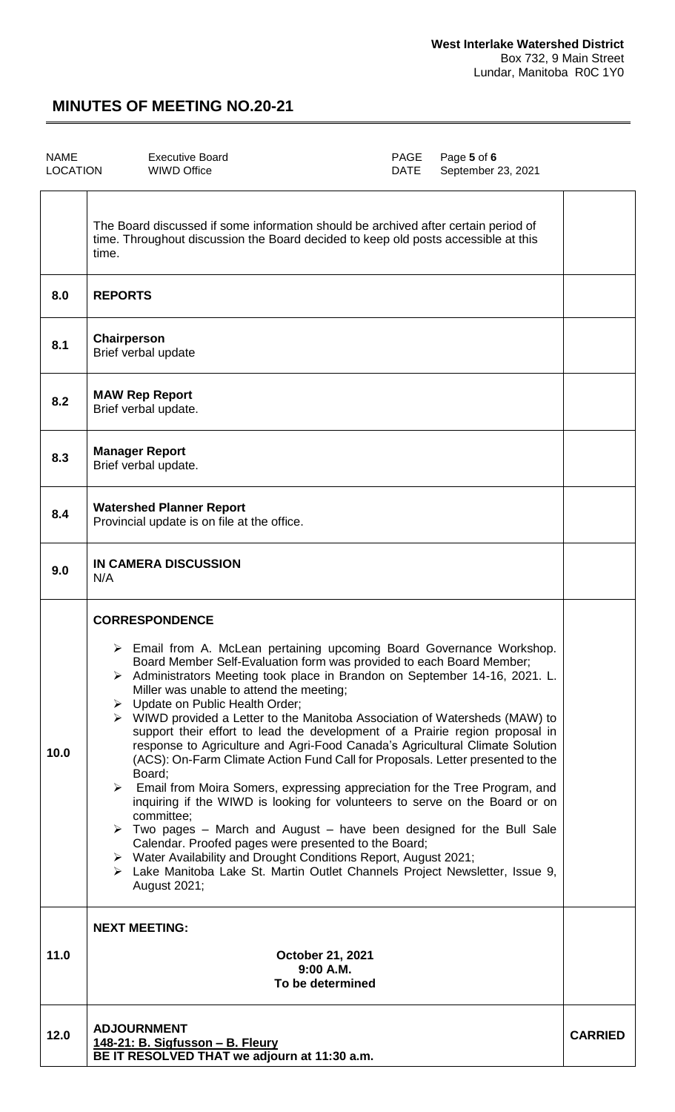$\overline{\phantom{a}}$ 

| <b>NAME</b><br><b>LOCATION</b> | <b>Executive Board</b><br>WIWD Office | DATE | PAGE Page 5 of 6<br>September 23, 2021 |  |
|--------------------------------|---------------------------------------|------|----------------------------------------|--|
|                                |                                       |      |                                        |  |

|      | The Board discussed if some information should be archived after certain period of<br>time. Throughout discussion the Board decided to keep old posts accessible at this<br>time.                                                                                                                                                                                                                                                                                                                                                                                                                                                                                                                                                                                                                                                                                                                                                                                                                                                                                                                                                                                                                                              |                |
|------|--------------------------------------------------------------------------------------------------------------------------------------------------------------------------------------------------------------------------------------------------------------------------------------------------------------------------------------------------------------------------------------------------------------------------------------------------------------------------------------------------------------------------------------------------------------------------------------------------------------------------------------------------------------------------------------------------------------------------------------------------------------------------------------------------------------------------------------------------------------------------------------------------------------------------------------------------------------------------------------------------------------------------------------------------------------------------------------------------------------------------------------------------------------------------------------------------------------------------------|----------------|
| 8.0  | <b>REPORTS</b>                                                                                                                                                                                                                                                                                                                                                                                                                                                                                                                                                                                                                                                                                                                                                                                                                                                                                                                                                                                                                                                                                                                                                                                                                 |                |
| 8.1  | Chairperson<br>Brief verbal update                                                                                                                                                                                                                                                                                                                                                                                                                                                                                                                                                                                                                                                                                                                                                                                                                                                                                                                                                                                                                                                                                                                                                                                             |                |
| 8.2  | <b>MAW Rep Report</b><br>Brief verbal update.                                                                                                                                                                                                                                                                                                                                                                                                                                                                                                                                                                                                                                                                                                                                                                                                                                                                                                                                                                                                                                                                                                                                                                                  |                |
| 8.3  | <b>Manager Report</b><br>Brief verbal update.                                                                                                                                                                                                                                                                                                                                                                                                                                                                                                                                                                                                                                                                                                                                                                                                                                                                                                                                                                                                                                                                                                                                                                                  |                |
| 8.4  | <b>Watershed Planner Report</b><br>Provincial update is on file at the office.                                                                                                                                                                                                                                                                                                                                                                                                                                                                                                                                                                                                                                                                                                                                                                                                                                                                                                                                                                                                                                                                                                                                                 |                |
| 9.0  | <b>IN CAMERA DISCUSSION</b><br>N/A                                                                                                                                                                                                                                                                                                                                                                                                                                                                                                                                                                                                                                                                                                                                                                                                                                                                                                                                                                                                                                                                                                                                                                                             |                |
| 10.0 | <b>CORRESPONDENCE</b><br>$\triangleright$ Email from A. McLean pertaining upcoming Board Governance Workshop.<br>Board Member Self-Evaluation form was provided to each Board Member;<br>> Administrators Meeting took place in Brandon on September 14-16, 2021. L.<br>Miller was unable to attend the meeting;<br>> Update on Public Health Order;<br>$\triangleright$ WIWD provided a Letter to the Manitoba Association of Watersheds (MAW) to<br>support their effort to lead the development of a Prairie region proposal in<br>response to Agriculture and Agri-Food Canada's Agricultural Climate Solution<br>(ACS): On-Farm Climate Action Fund Call for Proposals. Letter presented to the<br>Board;<br>$\triangleright$ Email from Moira Somers, expressing appreciation for the Tree Program, and<br>inquiring if the WIWD is looking for volunteers to serve on the Board or on<br>committee:<br>$\triangleright$ Two pages – March and August – have been designed for the Bull Sale<br>Calendar. Proofed pages were presented to the Board;<br>> Water Availability and Drought Conditions Report, August 2021;<br>> Lake Manitoba Lake St. Martin Outlet Channels Project Newsletter, Issue 9,<br>August 2021; |                |
| 11.0 | <b>NEXT MEETING:</b><br>October 21, 2021<br>9:00 A.M.<br>To be determined                                                                                                                                                                                                                                                                                                                                                                                                                                                                                                                                                                                                                                                                                                                                                                                                                                                                                                                                                                                                                                                                                                                                                      |                |
| 12.0 | <b>ADJOURNMENT</b><br>148-21: B. Sigfusson - B. Fleury<br>BE IT RESOLVED THAT we adjourn at 11:30 a.m.                                                                                                                                                                                                                                                                                                                                                                                                                                                                                                                                                                                                                                                                                                                                                                                                                                                                                                                                                                                                                                                                                                                         | <b>CARRIED</b> |